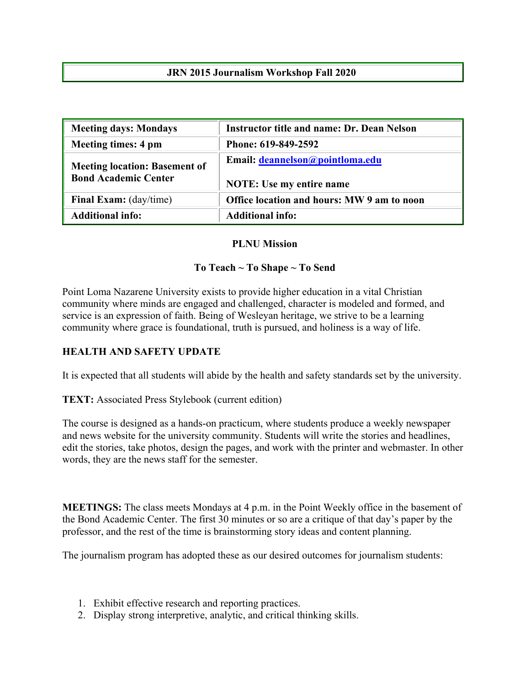# **JRN 2015 Journalism Workshop Fall 2020**

| <b>Meeting days: Mondays</b>                                        | <b>Instructor title and name: Dr. Dean Nelson</b>                  |
|---------------------------------------------------------------------|--------------------------------------------------------------------|
| Meeting times: 4 pm                                                 | Phone: 619-849-2592                                                |
| <b>Meeting location: Basement of</b><br><b>Bond Academic Center</b> | Email: deannelson@pointloma.edu<br><b>NOTE:</b> Use my entire name |
| <b>Final Exam:</b> (day/time)                                       | Office location and hours: MW 9 am to noon                         |
| <b>Additional info:</b>                                             | Additional info:                                                   |

#### **PLNU Mission**

#### **To Teach ~ To Shape ~ To Send**

Point Loma Nazarene University exists to provide higher education in a vital Christian community where minds are engaged and challenged, character is modeled and formed, and service is an expression of faith. Being of Wesleyan heritage, we strive to be a learning community where grace is foundational, truth is pursued, and holiness is a way of life.

## **HEALTH AND SAFETY UPDATE**

It is expected that all students will abide by the health and safety standards set by the university.

**TEXT:** Associated Press Stylebook (current edition)

The course is designed as a hands-on practicum, where students produce a weekly newspaper and news website for the university community. Students will write the stories and headlines, edit the stories, take photos, design the pages, and work with the printer and webmaster. In other words, they are the news staff for the semester.

**MEETINGS:** The class meets Mondays at 4 p.m. in the Point Weekly office in the basement of the Bond Academic Center. The first 30 minutes or so are a critique of that day's paper by the professor, and the rest of the time is brainstorming story ideas and content planning.

The journalism program has adopted these as our desired outcomes for journalism students:

- 1. Exhibit effective research and reporting practices.
- 2. Display strong interpretive, analytic, and critical thinking skills.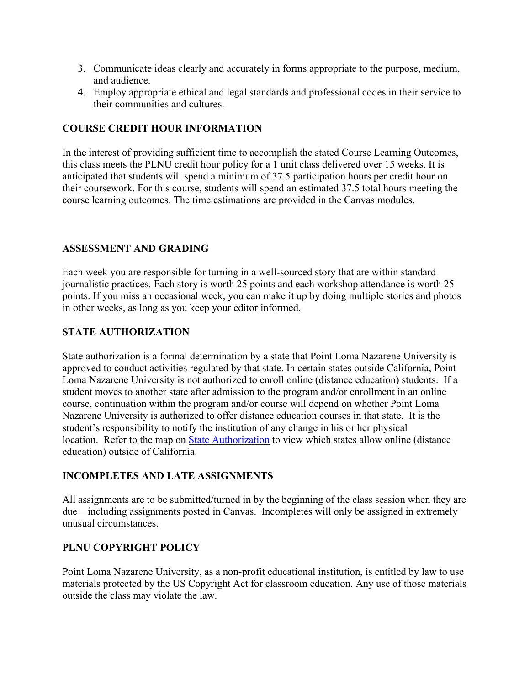- 3. Communicate ideas clearly and accurately in forms appropriate to the purpose, medium, and audience.
- 4. Employ appropriate ethical and legal standards and professional codes in their service to their communities and cultures.

## **COURSE CREDIT HOUR INFORMATION**

In the interest of providing sufficient time to accomplish the stated Course Learning Outcomes, this class meets the PLNU credit hour policy for a 1 unit class delivered over 15 weeks. It is anticipated that students will spend a minimum of 37.5 participation hours per credit hour on their coursework. For this course, students will spend an estimated 37.5 total hours meeting the course learning outcomes. The time estimations are provided in the Canvas modules.

#### **ASSESSMENT AND GRADING**

Each week you are responsible for turning in a well-sourced story that are within standard journalistic practices. Each story is worth 25 points and each workshop attendance is worth 25 points. If you miss an occasional week, you can make it up by doing multiple stories and photos in other weeks, as long as you keep your editor informed.

#### **STATE AUTHORIZATION**

State authorization is a formal determination by a state that Point Loma Nazarene University is approved to conduct activities regulated by that state. In certain states outside California, Point Loma Nazarene University is not authorized to enroll online (distance education) students. If a student moves to another state after admission to the program and/or enrollment in an online course, continuation within the program and/or course will depend on whether Point Loma Nazarene University is authorized to offer distance education courses in that state. It is the student's responsibility to notify the institution of any change in his or her physical location. Refer to the map on **State Authorization** to view which states allow online (distance education) outside of California.

## **INCOMPLETES AND LATE ASSIGNMENTS**

All assignments are to be submitted/turned in by the beginning of the class session when they are due—including assignments posted in Canvas. Incompletes will only be assigned in extremely unusual circumstances.

## **PLNU COPYRIGHT POLICY**

Point Loma Nazarene University, as a non-profit educational institution, is entitled by law to use materials protected by the US Copyright Act for classroom education. Any use of those materials outside the class may violate the law.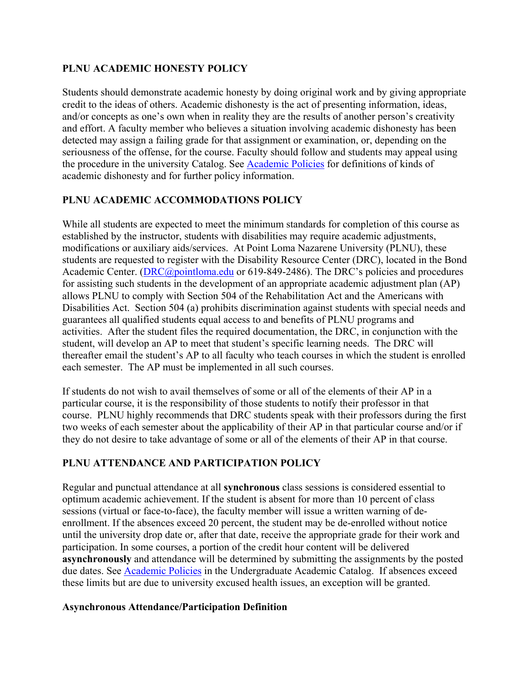## **PLNU ACADEMIC HONESTY POLICY**

Students should demonstrate academic honesty by doing original work and by giving appropriate credit to the ideas of others. Academic dishonesty is the act of presenting information, ideas, and/or concepts as one's own when in reality they are the results of another person's creativity and effort. A faculty member who believes a situation involving academic dishonesty has been detected may assign a failing grade for that assignment or examination, or, depending on the seriousness of the offense, for the course. Faculty should follow and students may appeal using the procedure in the university Catalog. See [Academic Policies](http://catalog.pointloma.edu/content.php?catoid=18&navoid=1278) for definitions of kinds of academic dishonesty and for further policy information.

# **PLNU ACADEMIC ACCOMMODATIONS POLICY**

While all students are expected to meet the minimum standards for completion of this course as established by the instructor, students with disabilities may require academic adjustments, modifications or auxiliary aids/services. At Point Loma Nazarene University (PLNU), these students are requested to register with the Disability Resource Center (DRC), located in the Bond Academic Center. [\(DRC@pointloma.edu](mailto:DRC@pointloma.edu) or 619-849-2486). The DRC's policies and procedures for assisting such students in the development of an appropriate academic adjustment plan (AP) allows PLNU to comply with Section 504 of the Rehabilitation Act and the Americans with Disabilities Act. Section 504 (a) prohibits discrimination against students with special needs and guarantees all qualified students equal access to and benefits of PLNU programs and activities. After the student files the required documentation, the DRC, in conjunction with the student, will develop an AP to meet that student's specific learning needs. The DRC will thereafter email the student's AP to all faculty who teach courses in which the student is enrolled each semester. The AP must be implemented in all such courses.

If students do not wish to avail themselves of some or all of the elements of their AP in a particular course, it is the responsibility of those students to notify their professor in that course. PLNU highly recommends that DRC students speak with their professors during the first two weeks of each semester about the applicability of their AP in that particular course and/or if they do not desire to take advantage of some or all of the elements of their AP in that course.

# **PLNU ATTENDANCE AND PARTICIPATION POLICY**

Regular and punctual attendance at all **synchronous** class sessions is considered essential to optimum academic achievement. If the student is absent for more than 10 percent of class sessions (virtual or face-to-face), the faculty member will issue a written warning of deenrollment. If the absences exceed 20 percent, the student may be de-enrolled without notice until the university drop date or, after that date, receive the appropriate grade for their work and participation. In some courses, a portion of the credit hour content will be delivered **asynchronously** and attendance will be determined by submitting the assignments by the posted due dates. See [Academic](https://catalog.pointloma.edu/content.php?catoid=46&navoid=2650#Class_Attendance) Policies in the Undergraduate Academic Catalog. If absences exceed these limits but are due to university excused health issues, an exception will be granted.

## **Asynchronous Attendance/Participation Definition**